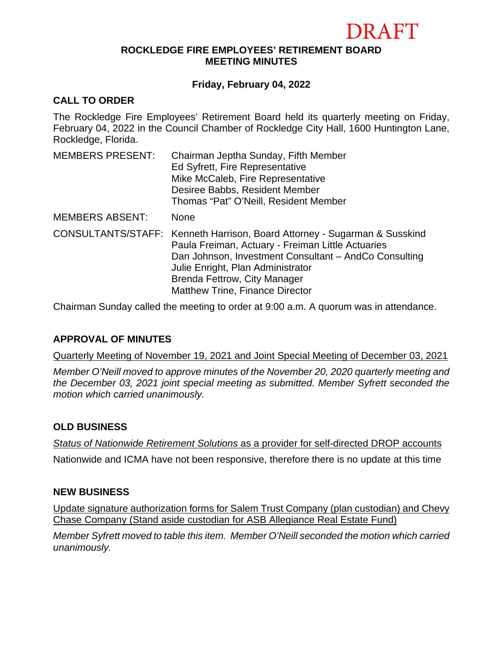# $RA$ FT

#### **ROCKLEDGE FIRE EMPLOYEES' RETIREMENT BOARD MEETING MINUTES**

# **Friday, February 04, 2022**

# **CALL TO ORDER**

The Rockledge Fire Employees' Retirement Board held its quarterly meeting on Friday, February 04, 2022 in the Council Chamber of Rockledge City Hall, 1600 Huntington Lane, Rockledge, Florida.

| <b>MEMBERS PRESENT:</b> | Chairman Jeptha Sunday, Fifth Member<br>Ed Syfrett, Fire Representative<br>Mike McCaleb, Fire Representative<br>Desiree Babbs, Resident Member<br>Thomas "Pat" O'Neill, Resident Member                                                                                                                |
|-------------------------|--------------------------------------------------------------------------------------------------------------------------------------------------------------------------------------------------------------------------------------------------------------------------------------------------------|
| <b>MEMBERS ABSENT:</b>  | None                                                                                                                                                                                                                                                                                                   |
|                         | CONSULTANTS/STAFF: Kenneth Harrison, Board Attorney - Sugarman & Susskind<br>Paula Freiman, Actuary - Freiman Little Actuaries<br>Dan Johnson, Investment Consultant - AndCo Consulting<br>Julie Enright, Plan Administrator<br>Brenda Fettrow, City Manager<br><b>Matthew Trine, Finance Director</b> |

Chairman Sunday called the meeting to order at 9:00 a.m. A quorum was in attendance.

# **APPROVAL OF MINUTES**

Quarterly Meeting of November 19, 2021 and Joint Special Meeting of December 03, 2021

*Member O'Neill moved to approve minutes of the November 20, 2020 quarterly meeting and the December 03, 2021 joint special meeting as submitted. Member Syfrett seconded the motion which carried unanimously.*

# **OLD BUSINESS**

*Status of Nationwide Retirement Solutions* as a provider for self-directed DROP accounts

Nationwide and ICMA have not been responsive, therefore there is no update at this time

## **NEW BUSINESS**

Update signature authorization forms for Salem Trust Company (plan custodian) and Chevy Chase Company (Stand aside custodian for ASB Allegiance Real Estate Fund)

*Member Syfrett moved to table this item. Member O'Neill seconded the motion which carried unanimously.*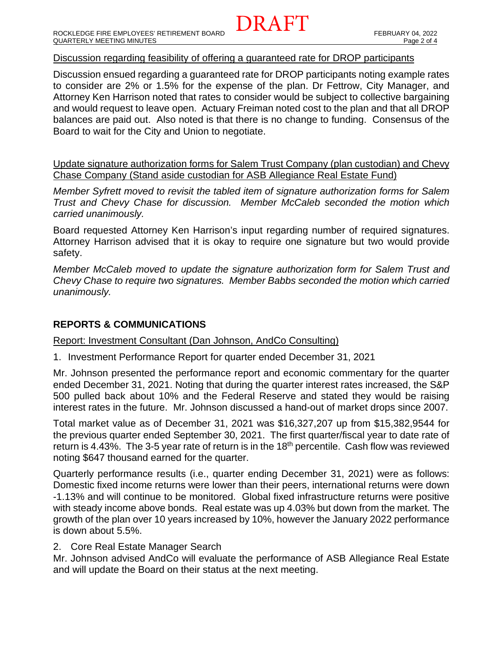#### Discussion regarding feasibility of offering a guaranteed rate for DROP participants

Discussion ensued regarding a guaranteed rate for DROP participants noting example rates to consider are 2% or 1.5% for the expense of the plan. Dr Fettrow, City Manager, and Attorney Ken Harrison noted that rates to consider would be subject to collective bargaining and would request to leave open. Actuary Freiman noted cost to the plan and that all DROP balances are paid out. Also noted is that there is no change to funding. Consensus of the Board to wait for the City and Union to negotiate.

DRAFT

Update signature authorization forms for Salem Trust Company (plan custodian) and Chevy Chase Company (Stand aside custodian for ASB Allegiance Real Estate Fund)

*Member Syfrett moved to revisit the tabled item of signature authorization forms for Salem Trust and Chevy Chase for discussion. Member McCaleb seconded the motion which carried unanimously.*

Board requested Attorney Ken Harrison's input regarding number of required signatures. Attorney Harrison advised that it is okay to require one signature but two would provide safety.

*Member McCaleb moved to update the signature authorization form for Salem Trust and Chevy Chase to require two signatures. Member Babbs seconded the motion which carried unanimously.*

#### **REPORTS & COMMUNICATIONS**

#### Report: Investment Consultant (Dan Johnson, AndCo Consulting)

1. Investment Performance Report for quarter ended December 31, 2021

Mr. Johnson presented the performance report and economic commentary for the quarter ended December 31, 2021. Noting that during the quarter interest rates increased, the S&P 500 pulled back about 10% and the Federal Reserve and stated they would be raising interest rates in the future. Mr. Johnson discussed a hand-out of market drops since 2007.

Total market value as of December 31, 2021 was \$16,327,207 up from \$15,382,9544 for the previous quarter ended September 30, 2021. The first quarter/fiscal year to date rate of return is 4.43%. The 3-5 year rate of return is in the 18<sup>th</sup> percentile. Cash flow was reviewed noting \$647 thousand earned for the quarter.

Quarterly performance results (i.e., quarter ending December 31, 2021) were as follows: Domestic fixed income returns were lower than their peers, international returns were down -1.13% and will continue to be monitored. Global fixed infrastructure returns were positive with steady income above bonds. Real estate was up 4.03% but down from the market. The growth of the plan over 10 years increased by 10%, however the January 2022 performance is down about 5.5%.

#### 2. Core Real Estate Manager Search

Mr. Johnson advised AndCo will evaluate the performance of ASB Allegiance Real Estate and will update the Board on their status at the next meeting.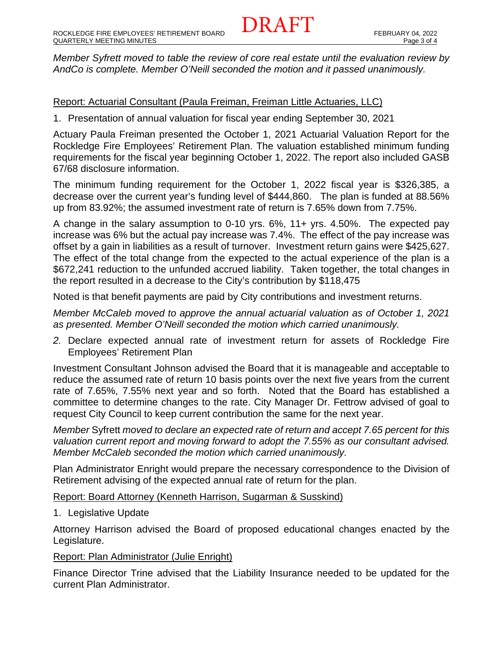*Member Syfrett moved to table the review of core real estate until the evaluation review by AndCo is complete. Member O'Neill seconded the motion and it passed unanimously.* 

DRAFT

## Report: Actuarial Consultant (Paula Freiman, Freiman Little Actuaries, LLC)

1. Presentation of annual valuation for fiscal year ending September 30, 2021

Actuary Paula Freiman presented the October 1, 2021 Actuarial Valuation Report for the Rockledge Fire Employees' Retirement Plan. The valuation established minimum funding requirements for the fiscal year beginning October 1, 2022. The report also included GASB 67/68 disclosure information.

The minimum funding requirement for the October 1, 2022 fiscal year is \$326,385, a decrease over the current year's funding level of \$444,860. The plan is funded at 88.56% up from 83.92%; the assumed investment rate of return is 7.65% down from 7.75%.

A change in the salary assumption to 0-10 yrs. 6%, 11+ yrs. 4.50%. The expected pay increase was 6% but the actual pay increase was 7.4%. The effect of the pay increase was offset by a gain in liabilities as a result of turnover. Investment return gains were \$425,627. The effect of the total change from the expected to the actual experience of the plan is a \$672,241 reduction to the unfunded accrued liability. Taken together, the total changes in the report resulted in a decrease to the City's contribution by \$118,475

Noted is that benefit payments are paid by City contributions and investment returns.

*Member McCaleb moved to approve the annual actuarial valuation as of October 1, 2021 as presented. Member O'Neill seconded the motion which carried unanimously.* 

*2.* Declare expected annual rate of investment return for assets of Rockledge Fire Employees' Retirement Plan

Investment Consultant Johnson advised the Board that it is manageable and acceptable to reduce the assumed rate of return 10 basis points over the next five years from the current rate of 7.65%, 7.55% next year and so forth. Noted that the Board has established a committee to determine changes to the rate. City Manager Dr. Fettrow advised of goal to request City Council to keep current contribution the same for the next year.

*Member* Syfrett *moved to declare an expected rate of return and accept 7.65 percent for this valuation current report and moving forward to adopt the 7.55% as our consultant advised. Member McCaleb seconded the motion which carried unanimously.*

Plan Administrator Enright would prepare the necessary correspondence to the Division of Retirement advising of the expected annual rate of return for the plan.

Report: Board Attorney (Kenneth Harrison, Sugarman & Susskind)

1. Legislative Update

Attorney Harrison advised the Board of proposed educational changes enacted by the Legislature.

## Report: Plan Administrator (Julie Enright)

Finance Director Trine advised that the Liability Insurance needed to be updated for the current Plan Administrator.